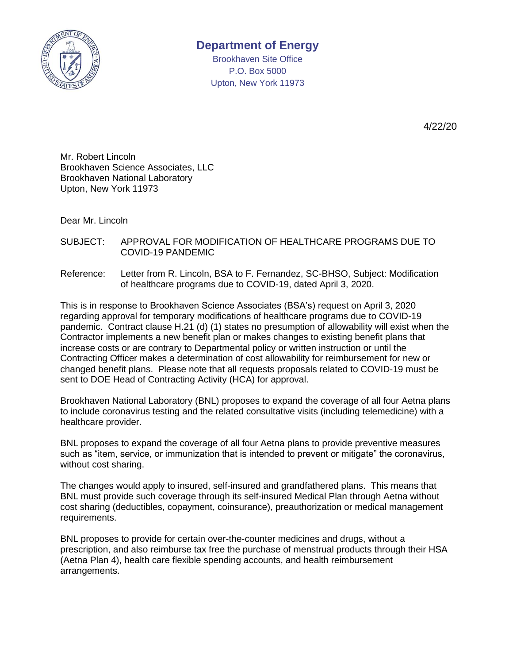

## **Department of Energy**

Brookhaven Site Office P.O. Box 5000 Upton, New York 11973

4/22/20

Mr. Robert Lincoln Brookhaven Science Associates, LLC Brookhaven National Laboratory Upton, New York 11973

Dear Mr. Lincoln

SUBJECT: APPROVAL FOR MODIFICATION OF HEALTHCARE PROGRAMS DUE TO COVID-19 PANDEMIC

Reference: Letter from R. Lincoln, BSA to F. Fernandez, SC-BHSO, Subject: Modification of healthcare programs due to COVID-19, dated April 3, 2020.

This is in response to Brookhaven Science Associates (BSA's) request on April 3, 2020 regarding approval for temporary modifications of healthcare programs due to COVID-19 pandemic. Contract clause H.21 (d) (1) states no presumption of allowability will exist when the Contractor implements a new benefit plan or makes changes to existing benefit plans that increase costs or are contrary to Departmental policy or written instruction or until the Contracting Officer makes a determination of cost allowability for reimbursement for new or changed benefit plans. Please note that all requests proposals related to COVID-19 must be sent to DOE Head of Contracting Activity (HCA) for approval.

Brookhaven National Laboratory (BNL) proposes to expand the coverage of all four Aetna plans to include coronavirus testing and the related consultative visits (including telemedicine) with a healthcare provider.

BNL proposes to expand the coverage of all four Aetna plans to provide preventive measures such as "item, service, or immunization that is intended to prevent or mitigate" the coronavirus, without cost sharing.

The changes would apply to insured, self-insured and grandfathered plans. This means that BNL must provide such coverage through its self-insured Medical Plan through Aetna without cost sharing (deductibles, copayment, coinsurance), preauthorization or medical management requirements.

BNL proposes to provide for certain over-the-counter medicines and drugs, without a prescription, and also reimburse tax free the purchase of menstrual products through their HSA (Aetna Plan 4), health care flexible spending accounts, and health reimbursement arrangements.